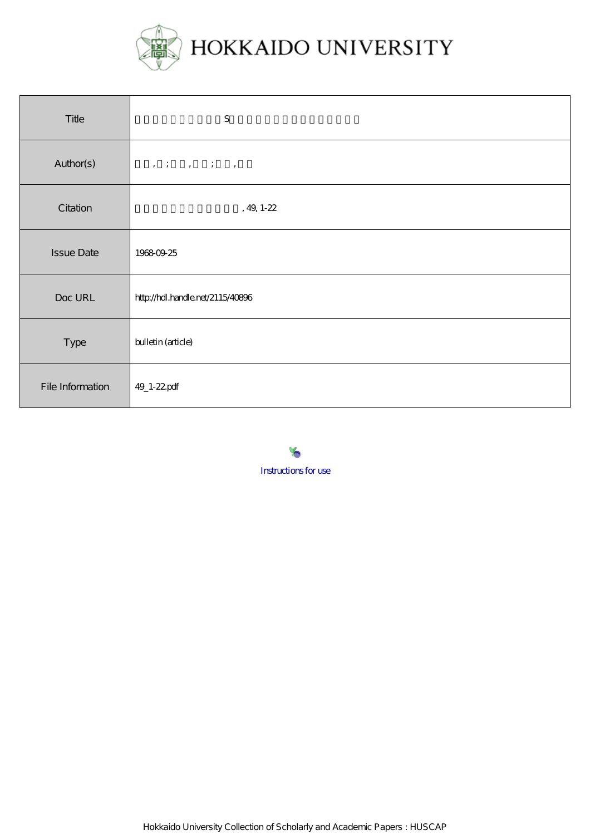

| Title             | ${\bf S}$                        |
|-------------------|----------------------------------|
| Author(s)         |                                  |
| Citation          | , 49, 1-22 $\,$                  |
| <b>Issue Date</b> | 19680925                         |
| Doc URL           | http://hdl.handle.net/2115/40896 |
| Type              | bulletin (article)               |
| File Information  | 49_1-22pdf                       |

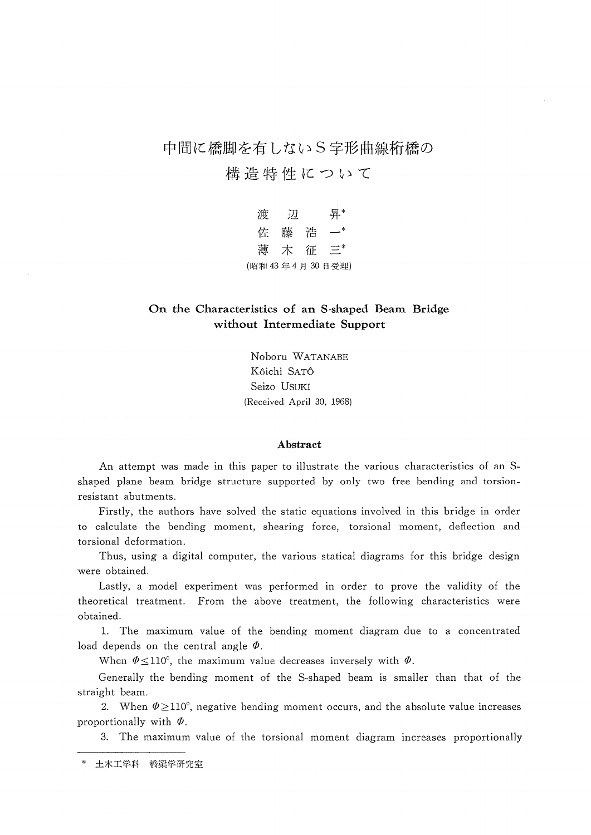中間に橋脚を有しないS字形曲線桁橋の

構造特性について

 渡 辺 昇\* 佐 藤 浩 一\* 薄 木 征 三\* (昭和43年4月30日受理)

# On the Characteristics of an S-shaped Beam Bridge without Intermediate Support

Noboru WATANABE K6ichi SAT6 Seizo USUKI (Received Aprii 30, 1968)

#### Abstract

 An attempt was made in this paper to illustrate the various characteristics of an S shaped plane beam bridge structure supported by only two free bending and torsion resistant abutments.

 Firstly, the authors have solved the static equations involved in this bridge in order to calculate the bending moment, shearing force, torsional moment, deflection and torsional deformation.

Thus, using a digital computer, the various statical diagrams for this bridge design were obtained.

 Lastly, a model experiment was performed in order to prove the validity of the theoretical treatment. From the above treatment, the following characteristics were obtained.

 1. The maximum value of the bending moment diagram due to a concentrated load depends on the central angle  $\Phi$ .

When  $\Phi \leq 110^{\circ}$ , the maximum value decreases inversely with  $\Phi$ .

 Generally the bending moment of the S-shaped beam is smaller than that of the straight beam.

2. When  $\Phi \geq 110^{\circ}$ , negative bending moment occurs, and the absolute value increases proportionally with  $\Phi$ .

3. The maximum value of the torsional moment diagram increases proportionally

土木工学科 橋梁学研究室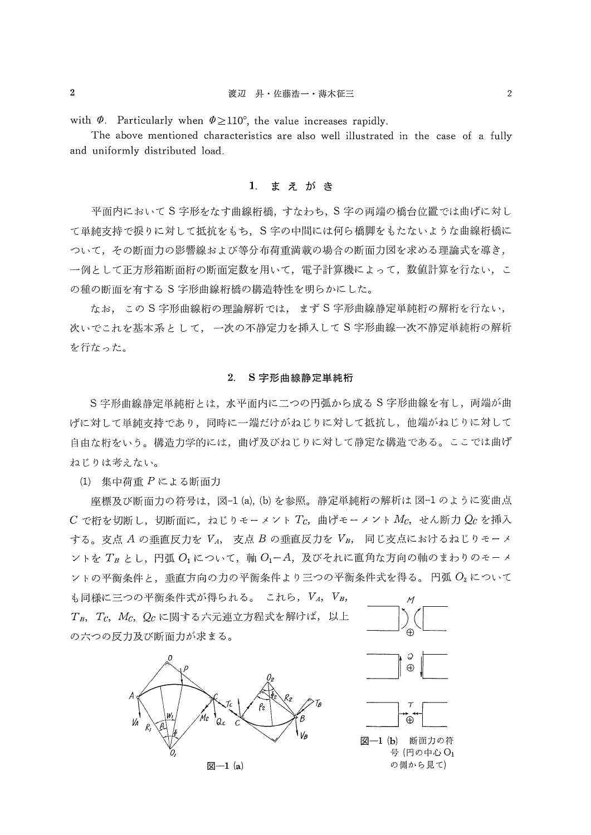with  $\Phi$ . Particularly when  $\Phi \ge 110^{\circ}$ , the value increases rapidly.

 The above mentioned characteristics are also well illustrated in the case of a fully and uniformly distributed load.

### 1. まえがき

平面内において S字形をなす曲線桁橋,すなわち, S字の両端の橋台位置では曲げに対し て単純支持で挾りに対して抵抗をもち,S字の中間には何ら橋脚をもたないような曲線桁橋に ついて,その断面力の影響線および等分布荷重満載の揚合の断面力図を求める理論式を導き, 一例として正方形箱断面桁の断面定数を用いて、電子計算機によって、数値計算を行ない、こ の種の断面を有するS字形曲線桁橋の構造特性を明らかにした。

なお,この S字形曲線桁の理論解析では、まず S字形曲線静定単純桁の解桁を行ない, 次いでこれを基本系として,一次の不静定力を挿入してS字形曲線一次不静定単純桁の解析 を行なった。

#### 2.S字形曲線静定単純桁

S字形曲線静定単純桁とは, 水平面内に二つの円弧から成る S字形曲線を有し, 両端が曲 げに対して単純支持であり,同時に一端だけがねじりに対して抵抗し,他端がねじりに対して 自由な桁をいう。構造力学的には、曲げ及びねじりに対して静定な構造である。ここでは曲げ ねじりは考えない。

(1)集中荷重Pによる断面力

座標及び断面力の符号は,図-1 (a), (b) を参照。静定単純桁の解析は図-1のように変曲点  $C$ で桁を切断し,切断面に,ねじりモーメントTc,曲げモーメント $M_c$ ,せん断力 $Q_c$ を挿入 する。支点  $A$ の垂直反力を  $V_A$ , 支点  $B$ の垂直反力を $V_B$ , 同じ支点におけるねじりモーメ  $\vee$ トをT<sub>B</sub>とし,円弧 $O_1$ について,軸 $O_1$ ーA,及びそれに直角な方向の軸のまわりのモーメ  $\nu + \sigma$ 平衡条件と、垂直方向の力の平衡条件より三つの平衡条件式を得る。円弧 $O_2$ について

も同様に三つの平衡条件式が得られる。これら,  $V_A$ ,  $V_B$ ,  $T_B$ ,  $T_C$ ,  $M_C$ ,  $Q_C$ に関する六元連立方程式を解けば, 以上 の六つの反力及び断面力が求まる。



 $\boxtimes -1$  (a)



図-1(b) 断面力の符 号 (円の中心O1 の側から見て)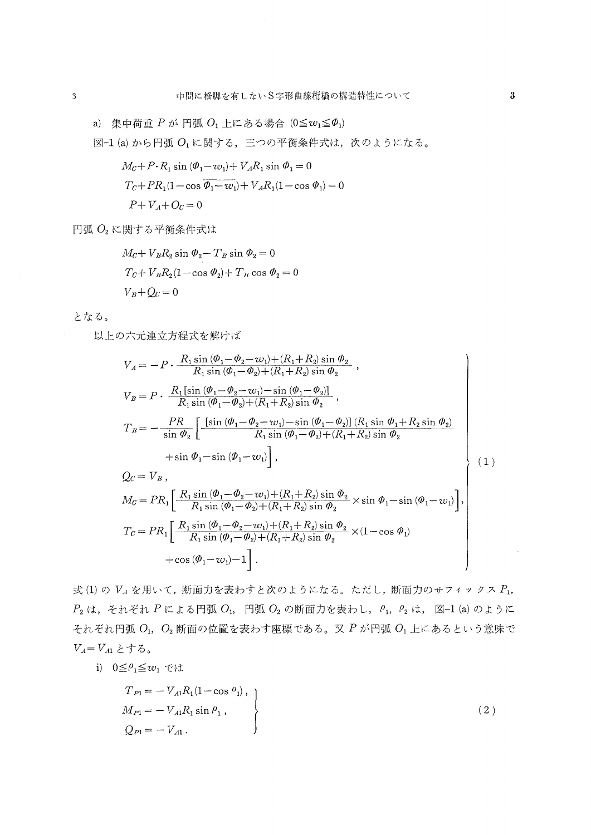a) 集中荷重  $P$  が 円弧  $O_1$  上にある場合 (0≦ $w_1 \le \phi_1$ )

図-1 (a) から円弧 O1 に関する、三つの平衡条件式は、次のようになる。

$$
M_C + P \cdot R_1 \sin (\phi_1 - w_1) + V_A R_1 \sin \phi_1 = 0
$$
  

$$
T_C + PR_1(1 - \cos \overline{\phi_1 - w_1}) + V_A R_1(1 - \cos \phi_1) = 0
$$
  

$$
P + V_A + O_C = 0
$$

円弧  $O_2$ に関する平衡条件式は

$$
M_C + V_B R_2 \sin \phi_2 - T_B \sin \phi_2 = 0
$$
  
\n
$$
T_C + V_B R_2 (1 - \cos \phi_2) + T_B \cos \phi_2 = 0
$$
  
\n
$$
V_B + Q_C = 0
$$

となる。

以上の六元連立方程式を解けば

$$
V_{A} = -P \cdot \frac{R_{1} \sin (\phi_{1} - \phi_{2} - i\psi_{1}) + (R_{1} + R_{2}) \sin \phi_{2}}{R_{1} \sin (\phi_{1} - \phi_{2}) + (R_{1} + R_{2}) \sin \phi_{2}},
$$
  
\n
$$
V_{B} = P \cdot \frac{R_{1} [\sin (\phi_{1} - \phi_{2} - i\psi_{1}) - \sin (\phi_{1} - \phi_{2})]}{R_{1} \sin (\phi_{1} - \phi_{2}) + (R_{1} + R_{2}) \sin \phi_{2}},
$$
  
\n
$$
T_{B} = -\frac{PR}{\sin \phi_{2}} \left[ \frac{[\sin (\phi_{1} - \phi_{2} - i\psi_{1}) - \sin (\phi_{1} - \phi_{2})]}{R_{1} \sin (\phi_{1} - \phi_{2}) + (R_{1} + R_{2}) \sin \phi_{2}} + \sin \phi_{1} - \sin (\phi_{1} - i\psi_{1}) \right],
$$
  
\n
$$
Q_{C} = V_{B},
$$
  
\n
$$
M_{C} = PR_{1} \left[ \frac{R_{1} \sin (\phi_{1} - \phi_{2} - i\psi_{1}) + (R_{1} + R_{2}) \sin \phi_{2}}{R_{1} \sin (\phi_{1} - \phi_{2}) + (R_{1} + R_{2}) \sin \phi_{2}} \times \sin \phi_{1} - \sin (\phi_{1} - i\psi_{1}) \right],
$$
  
\n[*D* : *(*0, *A* : *(*), *(*0, *A* : *(*), *(*0, *A* : *(*), *(*0, *A* : *(*), *(*0, *A* : *(*), *(*0, *A* : *(*), *(*0, *A* : *(*), *(*0, *A* : *(*), *(*0, *A* : *(*), *(*0, *A* : *(*), *(*0, *(*0, *(*), *(*), *(*0, *(*), *(*

$$
T_C = PR_1 \left[ \frac{R_1 \sin (\phi_1 - \phi_2 - w_1) + (R_1 + R_2) \sin \phi_2}{R_1 \sin (\phi_1 - \phi_2) + (R_1 + R_2) \sin \phi_2} \times (1 - \cos \phi_1) + \cos (\phi_1 - w_1) - 1 \right].
$$

式(1)の VA を用いて、断面力を表わすと次のようになる。ただし、断面力のサフィックス P1,  $P_2$ は、それぞれ P による円弧 O<sub>1</sub>, 円弧 O<sub>2</sub> の断面力を表わし,  $\rho_1$ ,  $\rho_2$ は, 図-1 (a) のように それぞれ円弧 O1, O2 断面の位置を表わす座標である。又 P が円弧 O1 上にあるという意味で  $V_A = V_{A1} \succeq \uparrow \uparrow$ る。

i)  $0 \leq \rho_1 \leq w_1$  では

$$
T_{P1} = -V_{A1}R_1(1 - \cos \rho_1),
$$
  
\n
$$
M_{P1} = -V_{A1}R_1 \sin \rho_1,
$$
  
\n
$$
Q_{P1} = -V_{A1}.
$$
\n(2)

 $\bar{\epsilon}$ 

 $\overline{3}$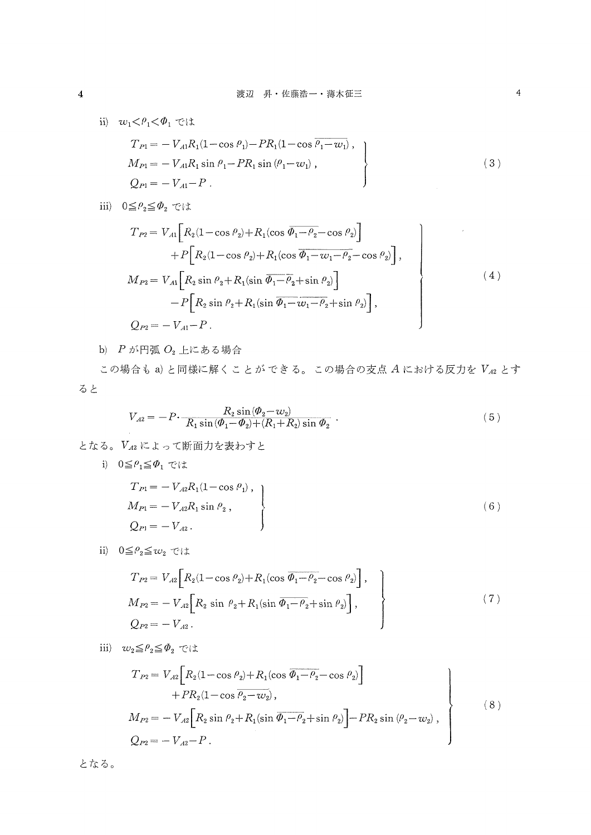- ii)  $w_1 < \rho_1 < \phi_1$  では  $T_{P1}=-\,V_{A1}R_1(1-\cos\,\theta_1)-PR_1(1-\cos\,\overline{\theta_1-\boldsymbol{w}_1})\;,$  $M_{P1}=-\,V_{A1}R_1\sin\,\theta_1\!-\!PR_1\sin\left(\theta_1\!-\!w_1\!\right)\,,$  $(3)$  $Q_{P1} = -V_{A1} - P$ .
- iii)  $0 \leq \rho_2 \leq \phi_2$  では

$$
T_{P2} = V_{A1} \left[ R_2 (1 - \cos \rho_2) + R_1 (\cos \overline{\phi_1 - \rho_2} - \cos \rho_2) \right] + P \left[ R_2 (1 - \cos \rho_2) + R_1 (\cos \overline{\phi_1 - w_1 - \rho_2} - \cos \rho_2) \right],
$$
  
\n
$$
M_{P2} = V_{A1} \left[ R_2 \sin \rho_2 + R_1 (\sin \overline{\phi_1 - \rho_2} + \sin \rho_2) \right] - P \left[ R_2 \sin \rho_2 + R_1 (\sin \overline{\phi_1 - w_1 - \rho_2} + \sin \rho_2) \right],
$$
  
\n
$$
Q_{P2} = -V_{A1} - P.
$$
\n(4)

b)  $P$  が円弧  $O<sub>2</sub>$ 上にある場合

この場合も a) と同様に解くことができる。この場合の支点 A における反力を Va2 とす ると

$$
V_{A2} = -P \cdot \frac{R_2 \sin(\phi_2 - w_2)}{R_1 \sin(\phi_1 - \phi_2) + (R_1 + R_2) \sin \phi_2} \,. \tag{5}
$$

- となる。VA2によって断面力を表わすと
	- i)  $0 \leq \rho_1 \leq \phi_1$  では

$$
T_{P1} = -V_{A2}R_1(1 - \cos \rho_1),
$$
  
\n
$$
M_{P1} = -V_{A2}R_1 \sin \rho_2,
$$
  
\n
$$
Q_{P1} = -V_{A2}.
$$
\n(6)

ii)  $0 \leq \rho_2 \leq w_2$  では

$$
T_{P2} = V_{A2} \left[ R_2 (1 - \cos \rho_2) + R_1 (\cos \overline{\phi_1 - \rho_2} - \cos \rho_2) \right],
$$
  
\n
$$
M_{P2} = -V_{A2} \left[ R_2 \sin \rho_2 + R_1 (\sin \overline{\phi_1 - \rho_2} + \sin \rho_2) \right],
$$
  
\n
$$
Q_{P2} = -V_{A2}.
$$
\n(7)

iii) 
$$
w_2 \leq \theta_2 \leq \theta_2 \leq \forall x
$$

$$
T_{P2} = V_{A2} \left[ R_2 (1 - \cos \rho_2) + R_1 (\cos \overline{\phi_1 - \rho_2} - \cos \rho_2) \right] + P R_2 (1 - \cos \overline{\phi_2 - w_2}),
$$
\n(8)

$$
M_{P2} = -V_{A2} \Big[ R_2 \sin \rho_2 + R_1 (\sin \overline{\phi_1 - \rho_2} + \sin \rho_2) \Big] - PR_2 \sin (\rho_2 - w_2) ,
$$
  

$$
Q_{P2} = -V_{A2} - P .
$$

となる。

 $\overline{\mathbf{4}}$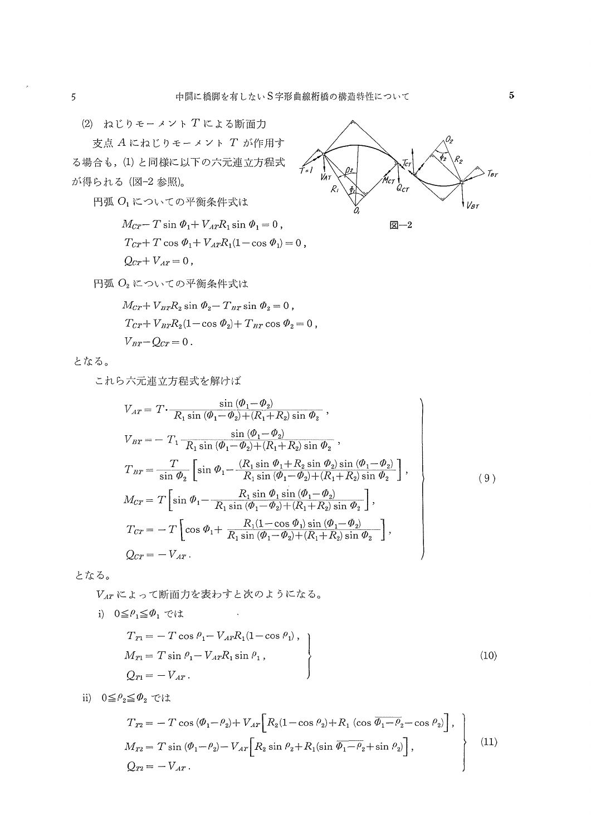支点 A にねじりモーメント T が作用す る場合も,(1)と同様に以下の六元連立方程式 が得られる (図-2参照)。

円弧 O1 についての平衡条件式は

$$
M_{CT} - T \sin \Phi_1 + V_{AT}R_1 \sin \Phi_1 = 0,
$$
  
\n
$$
T_{CT} + T \cos \Phi_1 + V_{AT}R_1(1 - \cos \Phi_1) = 0,
$$
  
\n
$$
Q_{CT} + V_{AT} = 0,
$$



円弧 O2 についての平衡条件式は

$$
M_{CT} + V_{BT}R_2 \sin \Phi_2 - T_{BT} \sin \Phi_2 = 0,
$$
  
\n
$$
T_{CT} + V_{BT}R_2(1 - \cos \Phi_2) + T_{BT} \cos \Phi_2 = 0,
$$
  
\n
$$
V_{BT} - Q_{CT} = 0.
$$

となる。

これら六元連立方程式を解けば

$$
V_{AT} = T \cdot \frac{\sin (\phi_1 - \phi_2)}{R_1 \sin (\phi_1 - \phi_2) + (R_1 + R_2) \sin \phi_2},
$$
  
\n
$$
V_{BT} = -T_1 \frac{\sin (\phi_1 - \phi_2)}{R_1 \sin (\phi_1 - \phi_2) + (R_1 + R_2) \sin \phi_2},
$$
  
\n
$$
T_{BT} = \frac{T}{\sin \phi_2} \left[ \sin \phi_1 - \frac{(R_1 \sin \phi_1 + R_2 \sin \phi_2) \sin (\phi_1 - \phi_2)}{R_1 \sin (\phi_1 - \phi_2) + (R_1 + R_2) \sin \phi_2} \right],
$$
  
\n
$$
M_{CT} = T \left[ \sin \phi_1 - \frac{R_1 \sin \phi_1 \sin (\phi_1 - \phi_2)}{R_1 \sin (\phi_1 - \phi_2) + (R_1 + R_2) \sin \phi_2} \right],
$$
  
\n
$$
T_{CT} = -T \left[ \cos \phi_1 + \frac{R_1(1 - \cos \phi_1) \sin (\phi_1 - \phi_2)}{R_1 \sin (\phi_1 - \phi_2) + (R_1 + R_2) \sin \phi_2} \right],
$$
  
\n
$$
Q_{CT} = -V_{AT}.
$$
  
\n(9)

となる。

VAT によって断面力を表わすと次のようになる。

 $\sim$   $\lambda$ 

$$
T_{T1} = -T \cos \rho_1 - V_{AT} R_1 (1 - \cos \rho_1),
$$
  
\n
$$
M_{T1} = T \sin \rho_1 - V_{AT} R_1 \sin \rho_1,
$$
  
\n
$$
Q_{T1} = -V_{AT}.
$$
\n(10)

ii)  $0 \leq \rho_2 \leq \phi_2$  では

i)  $0 \leq \rho_1 \leq \phi_1$  では

$$
T_{T2} = -T \cos (\theta_1 - \theta_2) + V_{AT} \Big[ R_2 (1 - \cos \theta_2) + R_1 (\cos \overline{\theta_1 - \theta_2} - \cos \theta_2) \Big],
$$
  
\n
$$
M_{T2} = T \sin (\theta_1 - \theta_2) - V_{AT} \Big[ R_2 \sin \theta_2 + R_1 (\sin \overline{\theta_1 - \theta_2} + \sin \theta_2) \Big],
$$
  
\n
$$
Q_{T2} = -V_{AT}.
$$
\n(11)

 $5<sup>1</sup>$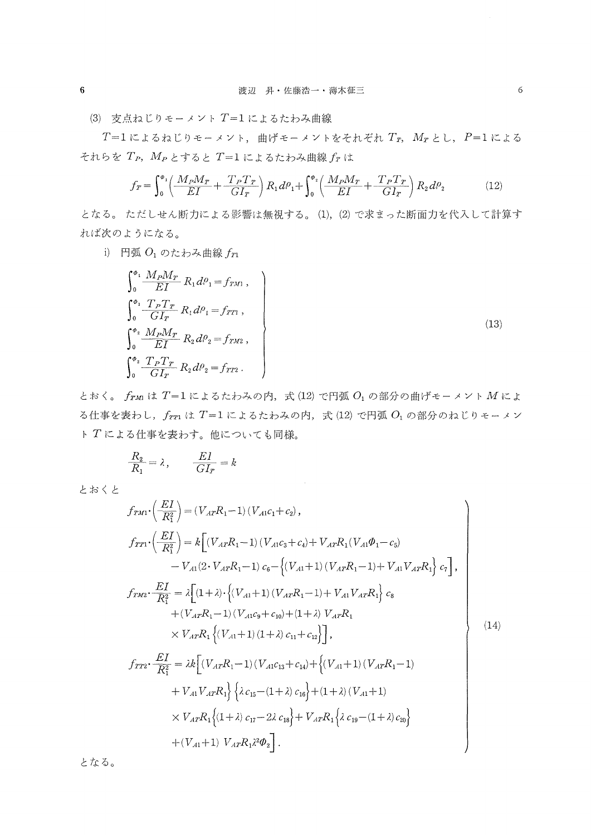(3) 支点ねじりモーメント T=1によるたわみ曲線

 $T=1$ によるねじりモーメント,曲げモーメントをそれぞれ  $T_T$ ,  $M_T$ とし,  $P=1$ による それらを  $T_P$ ,  $M_P$ とすると  $T = 1$ によるたわみ曲線  $f_T$ は

$$
f_T = \int_0^{\phi_1} \left( \frac{M_P M_T}{EI} + \frac{T_P T_T}{GI_T} \right) R_1 d\theta_1 + \int_0^{\phi_2} \left( \frac{M_P M_T}{EI} + \frac{T_P T_T}{GI_T} \right) R_2 d\theta_2 \tag{12}
$$

となる。ただしせん断力による影響は無視する。(1),(2)で求まった断面力を代入して計算す れば次のようになる。

i) 円弧 $O_1$ のたわみ曲線 $f_{T1}$ 

$$
\int_{0}^{\phi_{1}} \frac{M_{P}M_{T}}{EI} R_{1} d\theta_{1} = f_{TM},
$$
\n
$$
\int_{0}^{\phi_{1}} \frac{T_{P}T_{T}}{GI_{T}} R_{1} d\theta_{1} = f_{TT},
$$
\n
$$
\int_{0}^{\phi_{2}} \frac{M_{P}M_{T}}{EI} R_{2} d\theta_{2} = f_{TM2},
$$
\n
$$
\int_{0}^{\phi_{2}} \frac{T_{P}T_{T}}{GI_{T}} R_{2} d\theta_{2} = f_{TT2}.
$$
\n(13)

とおく。 $f_{TM}$ は  $T=1$ によるたわみの内, 式(12)で円弧 $O_1$ の部分の曲げモーメント $M$ によ る仕事を表わし,  $f_{TT}$ は  $T=1$ によるたわみの内, 式(12) で円弧 $O_1$ の部分のねじりモーメン トTによる仕事を表わす。他についても同様。

$$
\frac{R_2}{R_1} = \lambda, \qquad \frac{EI}{GI_T} = k
$$

とおくと

$$
f_{TM1} \cdot \left(\frac{EI}{R_1^2}\right) = (V_{AT}R_1 - 1) (V_{A1}c_1 + c_2),
$$
  
\n
$$
f_{TT1} \cdot \left(\frac{EI}{R_1^2}\right) = k \Big[ (V_{AT}R_1 - 1) (V_{A1}c_3 + c_4) + V_{AT}R_1(V_{A1}\varphi_1 - c_5) - V_{A1}(2 \cdot V_{AT}R_1 - 1) c_6 - \Big\{ (V_{A1} + 1) (V_{AT}R_1 - 1) + V_{A1}V_{AT}R_1 \Big\} c_7 \Big],
$$
  
\n
$$
f_{TM2} \cdot \frac{EI}{R_1^2} = \lambda \Big[ (1 + \lambda) \cdot \Big\{ (V_{A1} + 1) (V_{AT}R_1 - 1) + V_{A1}V_{AT}R_1 \Big\} c_8 + (V_{AT}R_1 - 1) (V_{A1}c_9 + c_{10}) + (1 + \lambda) V_{AT}R_1
$$
  
\n
$$
\times V_{AT}R_1 \Big\{ (V_{A1} + 1) (1 + \lambda) c_{11} + c_{12} \Big\} \Big],
$$
  
\n
$$
f_{TT2} \cdot \frac{EI}{R_1^2} = \lambda k \Big[ (V_{AT}R_1 - 1) (V_{A1}c_{13} + c_{14}) + \Big\{ (V_{A1} + 1) (V_{AT}R_1 - 1) + V_{A1}V_{AT}R_1 \Big\} \Big\{ \lambda c_{15} - (1 + \lambda) c_{16} \Big\} + (1 + \lambda) (V_{A1} + 1)
$$
  
\n
$$
\times V_{AT}R_1 \Big\{ (1 + \lambda) c_{17} - 2\lambda c_{18} \Big\} + V_{AT}R_1 \Big\{ \lambda c_{19} - (1 + \lambda) c_{20} \Big\} + (V_{A1} + 1) V_{AT}R_1 \lambda^2 \varphi_2 \Big].
$$
  
\n(14)

となる。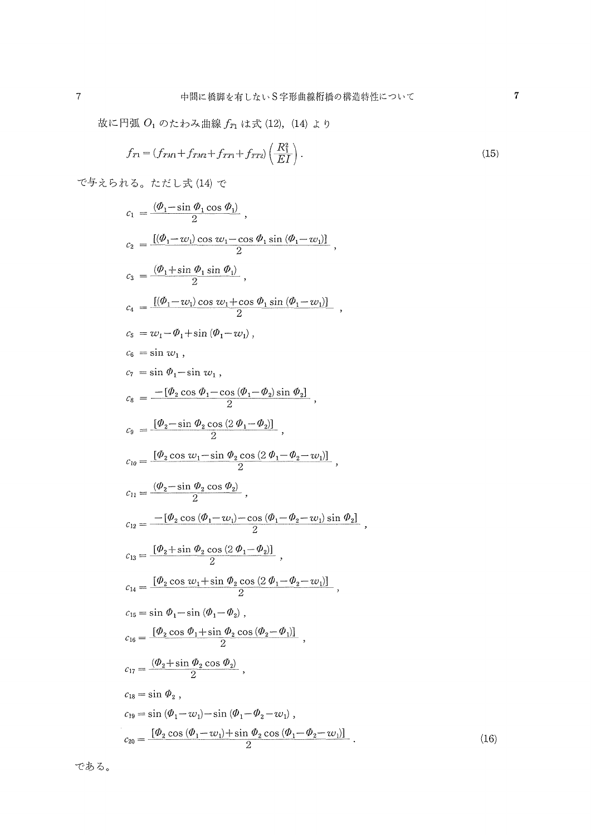$\overline{7}$ 

故に円弧  $O_1$  のたわみ曲線  $f_{T1}$  は式 (12), (14) より

$$
f_{T1} = (f_{TM1} + f_{TM2} + f_{TT1} + f_{TT2}) \left(\frac{R_1^2}{EI}\right). \tag{15}
$$

で与えられる。ただし式(14)で

$$
c_1 = \frac{(\theta_1 - \sin \theta_1 \cos \theta_1)}{2},
$$
  
\n
$$
c_2 = \frac{[(\theta_1 - w_1) \cos w_1 - \cos \theta_1 \sin (\theta_1 - w_1)]}{2},
$$
  
\n
$$
c_3 = \frac{(\theta_1 + \sin \theta_1 \sin \theta_1)}{2},
$$
  
\n
$$
c_4 = \frac{[(\theta_1 - w_1) \cos w_1 + \cos \theta_1 \sin (\theta_1 - w_1)]}{2},
$$
  
\n
$$
c_5 = w_1 - \theta_1 + \sin (\theta_1 - w_1),
$$
  
\n
$$
c_6 = \sin w_1,
$$
  
\n
$$
c_7 = \sin \theta_1 - \sin w_1,
$$
  
\n
$$
c_8 = -[\theta_2 \cos \theta_1 - \cos (\theta_1 - \theta_2) \sin \theta_2],
$$
  
\n
$$
c_9 = \frac{[\theta_2 - \sin \theta_2 \cos (2\theta_1 - \theta_2)]}{2},
$$
  
\n
$$
c_{10} = \frac{[\theta_2 \cos w_1 - \sin \theta_2 \cos (2\theta_1 - \theta_2 - w_1)]}{2},
$$
  
\n
$$
c_{11} = \frac{(\theta_2 - \sin \theta_2 \cos \theta_2)}{2},
$$
  
\n
$$
c_{12} = -[\theta_2 \cos (\theta_1 - w_1) - \cos (\theta_1 - \theta_2 - w_1) \sin \theta_2],
$$
  
\n
$$
c_{13} = \frac{[\theta_2 + \sin \theta_2 \cos (2\theta_1 - \theta_2)]}{2},
$$
  
\n
$$
c_{14} = \frac{[\theta_2 \cos w_1 + \sin \theta_2 \cos (2\theta_1 - \theta_2 - w_1)]}{2},
$$
  
\n
$$
c_{15} = \sin \theta_1 - \sin (\theta_1 - \theta_2),
$$
  
\n
$$
c_{16} = \frac{[\theta_2 \cos \theta_1 + \sin \theta_2 \cos (\theta_2 - \theta_1)]}{2},
$$
  
\n
$$
c_{17} = \frac{(\theta_2 + \sin \theta_2 \cos \theta_2)}{2},
$$
  
\

である。

 $(16)$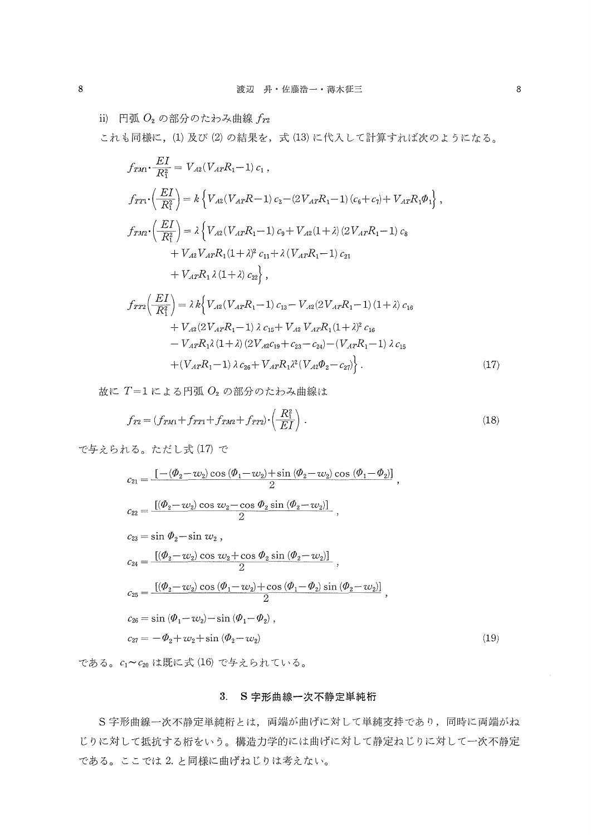ii) 円弧 $O_2$ の部分のたわみ曲線 $f_{12}$ 

これも同様に,(1)及び(2)の結果を、式(13)に代入して計算すれば次のようになる。

$$
f_{TM1} \cdot \frac{EI}{R_1^2} = V_{A2} (V_{A T} R_1 - 1) c_1 ,
$$
  
\n
$$
f_{TT1} \cdot \left(\frac{EI}{R_1^2}\right) = k \left\{ V_{A2} (V_{A T} R - 1) c_3 - (2 V_{A T} R_1 - 1) (c_6 + c_7) + V_{A T} R_1 \Phi_1 \right\} ,
$$
  
\n
$$
f_{TM2} \cdot \left(\frac{EI}{R_1^2}\right) = \lambda \left\{ V_{A2} (V_{A T} R_1 - 1) c_9 + V_{A2} (1 + \lambda) (2 V_{A T} R_1 - 1) c_8 \right\} + V_{A2} V_{A T} R_1 (1 + \lambda)^2 c_{11} + \lambda (V_{A T} R_1 - 1) c_{21} \right.
$$
  
\n
$$
+ V_{A T} R_1 \lambda (1 + \lambda) c_{22} \right\} ,
$$
  
\n
$$
f_{TT2} \left(\frac{EI}{R_1^2}\right) = \lambda k \left\{ V_{A2} (V_{A T} R_1 - 1) c_{13} - V_{A2} (2 V_{A T} R_1 - 1) (1 + \lambda) c_{16} \right\} + V_{A2} (2 V_{A T} R_1 - 1) \lambda c_{15} + V_{A2} V_{A T} R_1 (1 + \lambda)^2 c_{16} \right.
$$
  
\n
$$
- V_{A T} R_1 \lambda (1 + \lambda) (2 V_{A 2} c_{19} + c_{23} - c_{24}) - (V_{A T} R_1 - 1) \lambda c_{15} + (V_{A T} R_1 - 1) \lambda c_{26} + V_{A T} R_1 \lambda^2 (V_{A 2} \Phi_2 - c_{27}) \right\} .
$$
  
\n(17)

故に $T=1$ による円弧 $O<sub>2</sub>$ の部分のたわみ曲線は

$$
f_{T2} = (f_{TM1} + f_{TT1} + f_{TM2} + f_{TT2}) \cdot \left(\frac{R_1^2}{EI}\right) \,. \tag{18}
$$

で与えられる。ただし式(17)で

$$
c_{21} = \frac{\left[-(\Phi_2 - w_2)\cos{(\Phi_1 - w_2)} + \sin{(\Phi_2 - w_2)}\cos{(\Phi_1 - \Phi_2)}\right]}{2},
$$
  
\n
$$
c_{22} = \frac{\left[(\Phi_2 - w_2)\cos{w_2} - \cos{\Phi_2}\sin{(\Phi_2 - w_2)}\right]}{2},
$$
  
\n
$$
c_{23} = \sin{\Phi_2} - \sin{w_2},
$$
  
\n
$$
c_{24} = \frac{\left[(\Phi_2 - w_2)\cos{w_2} + \cos{\Phi_2}\sin{(\Phi_2 - w_2)}\right]}{2},
$$
  
\n
$$
c_{25} = \frac{\left[(\Phi_2 - w_2)\cos{(\Phi_1 - w_2)} + \cos{(\Phi_1 - \Phi_2)}\sin{(\Phi_2 - w_2)}\right]}{2},
$$
  
\n
$$
c_{26} = \sin{(\Phi_1 - w_2)} - \sin{(\Phi_1 - \Phi_2)},
$$
  
\n
$$
c_{27} = -\Phi_2 + w_2 + \sin{(\Phi_2 - w_2)}
$$
\n(19)

である。 $c_1 \thicksim c_{20}$ は既に式(16)で与えられている。

## 3.S字形曲線一次不静定単純桁

S字形曲線一次不静定単純桁とは, 両端が曲げに対して単純支持であり, 同時に両端がね じりに対して抵抗する桁をいう。構造力学的には曲げに対して静定ねじりに対して一次不静定 である。ここでは2.と岡様に曲げねじりは考えない。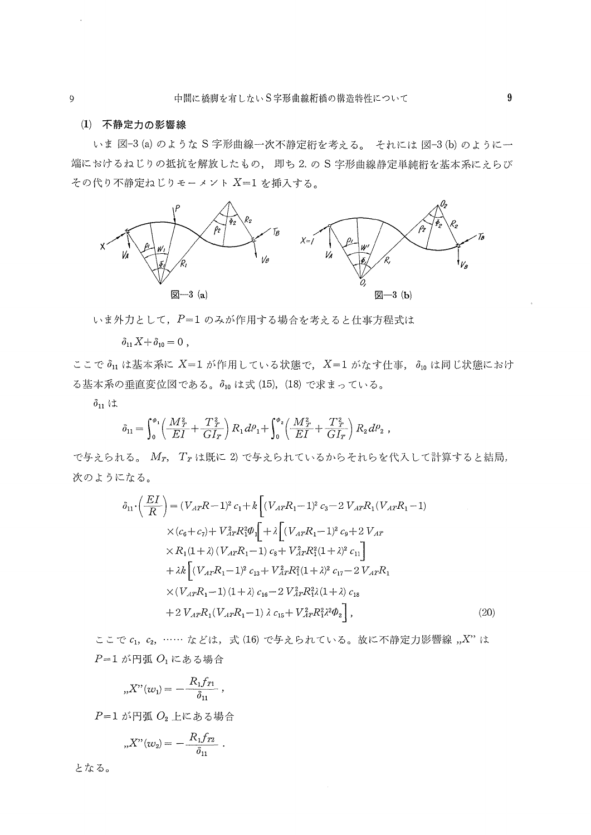### (1)不静定力の影響線

 いま図一3(a)のようなS字形曲線一次不静定桁を考える。 それには図一3(b)のように一 端におけるねじりの抵抗を解放したもの,即ち2.のS字形曲線静定単純桁を基本系にえらび その代り不静定ねじりモーメントX=1を挿入する。



いま外力として、P=1のみが作用する場合を考えると仕事方程式は

 $\delta_{11}X+\delta_{10}=0$ ,

ここで $\delta_{11}$ は基本系に X=1が作用している状態で、X=1がなす仕事, $\delta_{10}$ は同じ状態におけ る基本系の垂直変位図である。 $\delta_{10}$ は式(15), (18)で求まっている。

 $\delta_{11}$  は

$$
\delta_{11} = \int_0^{\phi_1} \left( \frac{M_T^2}{EI} + \frac{T_T^2}{GI_T} \right) R_1 d\theta_1 + \int_0^{\phi_2} \left( \frac{M_T^2}{EI} + \frac{T_T^2}{GI_T} \right) R_2 d\theta_2 ,
$$

で与えられる。Mr, Trは既に2)で与えられているからそれらを代入して計算すると結局, 次のようになる。

$$
\delta_{11} \cdot \left(\frac{EI}{R}\right) = (V_{AT}R - 1)^2 c_1 + k \left[ (V_{AT}R_1 - 1)^2 c_3 - 2 V_{AT}R_1(V_{AT}R_1 - 1) \times (c_6 + c_7) + V_{AT}^2 R_1^2 \Phi_1 \right] + \lambda \left[ (V_{AT}R_1 - 1)^2 c_9 + 2 V_{AT} \times R_1(1 + \lambda) (V_{AT}R_1 - 1) c_8 + V_{AT}^2 R_1^2 (1 + \lambda)^2 c_{11} \right] \n+ \lambda k \left[ (V_{AT}R_1 - 1)^2 c_{13} + V_{AT}^2 R_1^2 (1 + \lambda)^2 c_{17} - 2 V_{AT}R_1 \times (V_{AT}R_1 - 1) (1 + \lambda) c_{16} - 2 V_{AT}^2 R_1^2 \lambda (1 + \lambda) c_{18} \right] \n+ 2 V_{AT}R_1 (V_{AT}R_1 - 1) \lambda c_{15} + V_{AT}^2 R_1^2 \lambda^2 \Phi_2 \right],
$$
\n(20)

ここで $c_1, c_2, \ldots c_k$ とは、式(16)で与えられている。故に不静定力影響線, $X$ "は  $P=1$  が円弧 $O<sub>1</sub>$ にある場合

$$
,,X"(w_{1})=-\frac{R_{1}f_{T1}}{\delta _{11}}\ ,
$$

 $P=1$  が円弧 $O<sub>2</sub>$ 上にある場合

$$
{}_{n}X^{"}(w_{2})=-\frac{R_{1}f_{T2}}{\delta_{11}}
$$

となる。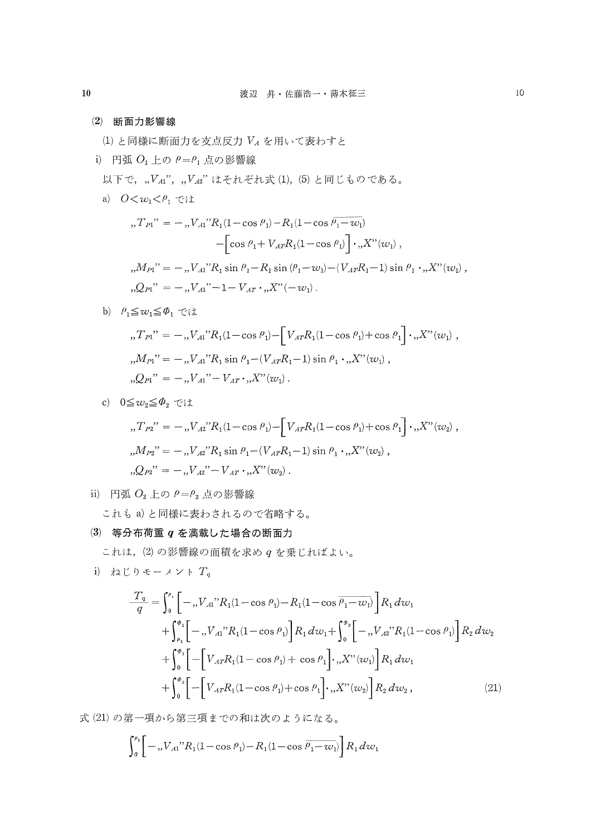(2)断面力影響線

 $(1)$ と同様に断面力を支点反力 $V_A$ を用いて表わすと

i) 円弧 $O_1$ 上の $\rho = \rho_1$ 点の影響線

以下で, "VAi", "VA2"はそれぞれ式(1), (5)と同じものである。

a)  $0 \lt w_1 \lt \rho_1$   $\lt$ it

$$
{}_{n}T_{P1}^{"} = -{}_{n}V_{A1}^{"}R_{1}(1-\cos \rho_{1}) - R_{1}(1-\cos \rho_{1}-w_{1})
$$
  

$$
-\left[\cos \rho_{1} + V_{A T} R_{1}(1-\cos \rho_{1})\right] \cdot {}_{n}X^{"}(w_{1}),
$$
  

$$
{}_{n}M_{P1}^{"} = -{}_{n}V_{A1}^{"}R_{1}\sin \rho_{1} - R_{1}\sin(\rho_{1}-w_{1}) - (V_{A T} R_{1}-1)\sin \rho_{1} \cdot {}_{n}X^{"}(w_{1}),
$$
  

$$
{}_{n}Q_{P1}^{"} = -{}_{n}V_{A1}^{"} - 1 - V_{A T} \cdot {}_{n}X^{"}(-w_{1}).
$$

b)  $\rho_1 \leq w_1 \leq \phi_1$  では

$$
{}_{n}T_{P1}^{"} = -{}_{n}V_{A1}^{"}R_{1}(1-\cos \theta_{1}) - \left[V_{A T}R_{1}(1-\cos \theta_{1}) + \cos \theta_{1}\right] \cdot {}_{n}X^{"}(w_{1}),
$$
  

$$
{}_{n}M_{P1}^{"} = -{}_{n}V_{A1}^{"}R_{1}\sin \theta_{1} - (V_{A T}R_{1} - 1)\sin \theta_{1} \cdot {}_{n}X^{"}(w_{1}),
$$
  

$$
{}_{n}Q_{P1}^{"} = -{}_{n}V_{A1}^{"} - V_{A T} \cdot {}_{n}X^{"}(w_{1}).
$$

c)  $0 \leq w_2 \leq \varPhi_2$  では

$$
{}_{n}T_{P2}^{"} = -{}_{n}V_{A2}^{"}R_{1}(1-\cos \theta_{1}) - \left[V_{A T}R_{1}(1-\cos \theta_{1})+\cos \theta_{1}\right] \cdot {}_{n}X^{"}(w_{2}) ,
$$
  

$$
{}_{n}M_{P2}^{"} = -{}_{n}V_{A2}^{"}R_{1}\sin \theta_{1} - (V_{A T}R_{1} - 1)\sin \theta_{1} \cdot {}_{n}X^{"}(w_{2}) ,
$$
  

$$
{}_{n}Q_{P2}^{"} = -{}_{n}V_{A2}^{"} - V_{A T} \cdot {}_{n}X^{"}(w_{2}) .
$$

ii) 円弧 $O_2$ 上の $\rho = \rho_2$ 点の影響線

これもa)と同様に表わされるので省略する。

(3)等分布荷重qを満載した場合の断面力

これは, (2)の影響線の面積を求め  $q$ を乗じればよい。

i) ねじりモーメント $T_q$ 

$$
\frac{T_q}{q} = \int_0^{\rho_1} \left[ -\, , V_{A1}{}^{\prime\prime} R_1 (1 - \cos \rho_1) - R_1 (1 - \cos \overline{\rho_1 - w_1}) \right] R_1 \, dw_1 \n+ \int_{\rho_1}^{\phi_1} \left[ -\, , V_{A1}{}^{\prime\prime} R_1 (1 - \cos \rho_1) \right] R_1 \, dw_1 + \int_0^{\rho_2} \left[ -\, , V_{A2}{}^{\prime\prime} R_1 (1 - \cos \rho_1) \right] R_2 \, dw_2 \n+ \int_0^{\phi_1} \left[ - \left[ V_{A T} R_1 (1 - \cos \rho_1) + \cos \rho_1 \right] \cdot \, , X^{\prime\prime} (w_1) \right] R_1 \, dw_1 \n+ \int_0^{\phi_2} \left[ - \left[ V_{A T} R_1 (1 - \cos \rho_1) + \cos \rho_1 \right] \cdot \, , X^{\prime\prime} (w_2) \right] R_2 \, dw_2 , \tag{21}
$$

式(21)の第一項から第三項までの和は次のようになる。

$$
\int_{0}^{\rho_{1}} \left[ -\int_{0}^{1} N_{A1} \cdot R_{1} (1 - \cos \rho_{1}) - R_{1} (1 - \cos \overline{\rho_{1} - w_{1}}) \right] R_{1} \, dw_{1}
$$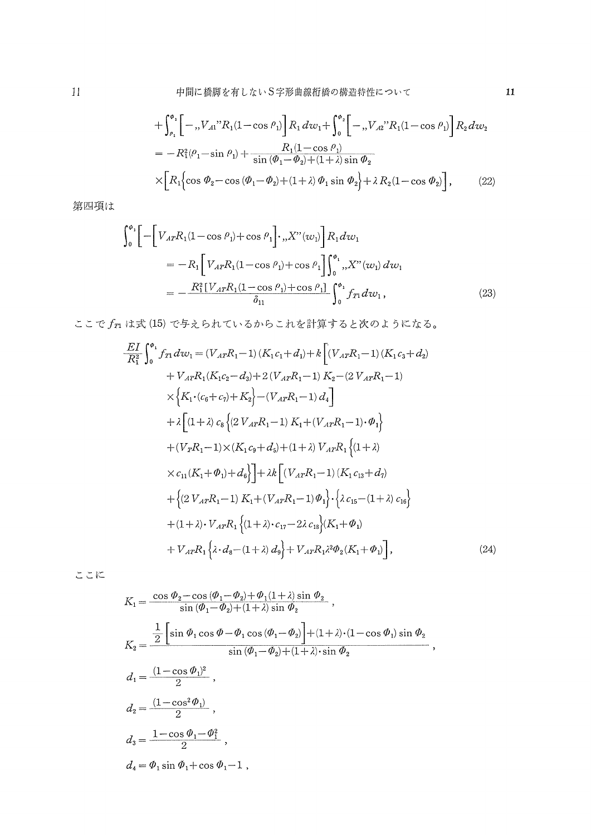$$
+\int_{\rho_1}^{\phi_1} \left[ -\, , V_{A1}{}^{\prime\prime} R_1 (1 - \cos \rho_1) \right] R_1 \, dv_1 + \int_0^{\phi_2} \left[ -\, , V_{A2}{}^{\prime\prime} R_1 (1 - \cos \rho_1) \right] R_2 \, dw_2
$$
  
\n
$$
= -R_1^2 (\rho_1 - \sin \rho_1) + \frac{R_1 (1 - \cos \rho_1)}{\sin (\phi_1 - \phi_2) + (1 + \lambda) \sin \phi_2}
$$
  
\n
$$
\times \left[ R_1 \left\{ \cos \phi_2 - \cos (\phi_1 - \phi_2) + (1 + \lambda) \phi_1 \sin \phi_2 \right\} + \lambda R_2 (1 - \cos \phi_2) \right], \qquad (22)
$$

第四項は

$$
\int_{0}^{\phi_{1}} \left[ -\left[ V_{AT}R_{1}(1-\cos\theta_{1}) + \cos\theta_{1} \right], X''(w_{1}) \right] R_{1} dw_{1}
$$
\n
$$
= -R_{1} \left[ V_{AT}R_{1}(1-\cos\theta_{1}) + \cos\theta_{1} \right] \int_{0}^{\phi_{1}} , X''(w_{1}) dw_{1}
$$
\n
$$
= -\frac{R_{1}^{2} \left[ V_{AT}R_{1}(1-\cos\theta_{1}) + \cos\theta_{1} \right]}{\delta_{11}} \int_{0}^{\phi_{1}} f_{T1} dw_{1} , \qquad (23)
$$

ここで $f_{T1}$ は式(15)で与えられているからこれを計算すると次のようになる。

$$
\frac{EI}{R_1^2} \int_0^{\phi_1} f_{T1} dv_1 = (V_{AT}R_1 - 1) (K_1 c_1 + d_1) + k \left[ (V_{AT}R_1 - 1) (K_1 c_3 + d_2) + V_{AT}R_1 (K_1 c_2 - d_3) + 2 (V_{AT}R_1 - 1) K_2 - (2 V_{AT}R_1 - 1) \right] \times \left\{ K_1 \cdot (c_6 + c_7) + K_2 \right\} - (V_{AT}R_1 - 1) d_4 \right] \n+ \lambda \left[ (1 + \lambda) c_8 \left\{ (2 V_{AT}R_1 - 1) K_1 + (V_{AT}R_1 - 1) \cdot \phi_1 \right\} + (V_{TR}1 - 1) \times (K_1 c_9 + d_5) + (1 + \lambda) V_{AT}R_1 \left\{ (1 + \lambda) \right\} \right. \n\times c_{11} (K_1 + \phi_1) + d_6 \right\} + \lambda k \left[ (V_{AT}R_1 - 1) (K_1 c_{13} + d_7) \right. \n+ \left\{ (2 V_{AT}R_1 - 1) K_1 + (V_{AT}R_1 - 1) \phi_1 \right\} \cdot \left\{ \lambda c_{15} - (1 + \lambda) c_{16} \right\} \n+ (1 + \lambda) \cdot V_{AT}R_1 \left\{ (1 + \lambda) \cdot c_{17} - 2\lambda c_{18} \right\} (K_1 + \phi_1) \n+ V_{AT}R_1 \left\{ \lambda \cdot d_8 - (1 + \lambda) d_9 \right\} + V_{AT}R_1 \lambda^2 \phi_2 (K_1 + \phi_1) \right],
$$
\n(24)

ここに

$$
\begin{split} K_1&=\frac{\cos\,\theta_2-\cos\,(\theta_1-\theta_2)+\theta_1(1+\lambda)\sin\,\theta_2}{\sin\,(\theta_1-\theta_2)+(1+\lambda)\sin\,\theta_2}\;,\\ K_2&=\frac{\frac{1}{2}\left[\sin\,\theta_1\cos\,\theta-\theta_1\cos\,(\theta_1-\theta_2)\right]+(1+\lambda)\cdot(1-\cos\,\theta_1)\sin\,\theta_2}{\sin\,(\theta_1-\theta_2)+(1+\lambda)\cdot\sin\,\theta_2}\;,\\ d_1&=\frac{(1-\cos\,\theta_1)^2}{2}\;,\\ d_2&=\frac{(1-\cos^2\,\theta_1)}{2}\;,\\ d_3&=\frac{1-\cos\,\theta_1-\theta_1^2}{2}\;,\\ d_4&=\,\theta_1\sin\,\theta_1+\cos\,\theta_1-1\;, \end{split}
$$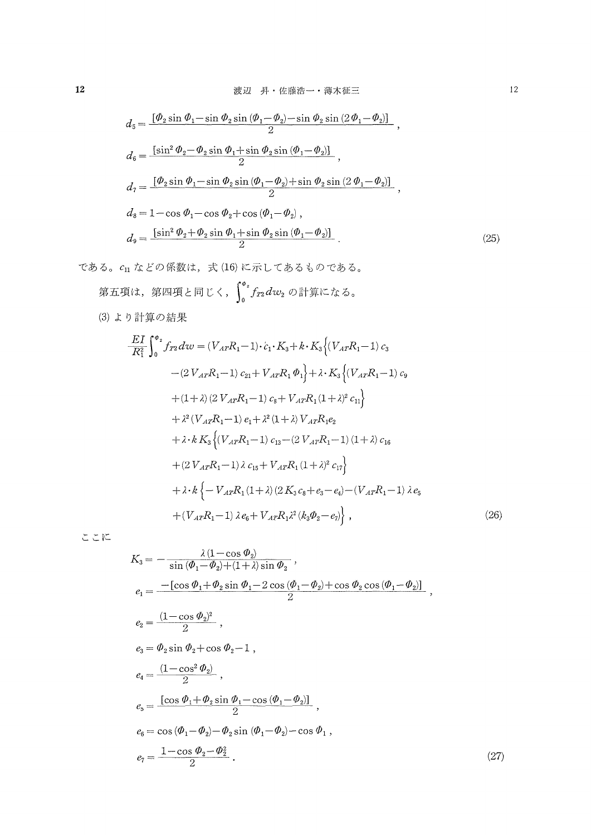$$
d_5 = \frac{[\phi_2 \sin \phi_1 - \sin \phi_2 \sin (\phi_1 - \phi_2) - \sin \phi_2 \sin (2\phi_1 - \phi_2)]}{2},
$$
  
\n
$$
d_6 = \frac{[\sin^2 \phi_2 - \phi_2 \sin \phi_1 + \sin \phi_2 \sin (\phi_1 - \phi_2)]}{2},
$$
  
\n
$$
d_7 = \frac{[\phi_2 \sin \phi_1 - \sin \phi_2 \sin (\phi_1 - \phi_2) + \sin \phi_2 \sin (2\phi_1 - \phi_2)]}{2},
$$
  
\n
$$
d_8 = 1 - \cos \phi_1 - \cos \phi_2 + \cos (\phi_1 - \phi_2),
$$
  
\n
$$
d_9 = \frac{[\sin^2 \phi_2 + \phi_2 \sin \phi_1 + \sin \phi_2 \sin (\phi_1 - \phi_2)]}{2}.
$$
\n(25)

である。c11 などの係数は、式(16)に示してあるものである。 第五項は、第四項と同じく、 $\int_0^{a_2} f_{T2} dw_2$ の計算になる。

(3) より計算の結果

$$
\frac{EI}{R_1^2} \int_0^{\phi_2} f_{T2} dv = (V_{AT} R_1 - 1) \cdot c_1 \cdot K_3 + k \cdot K_3 \left\{ (V_{AT} R_1 - 1) \, c_3 \right. \n- (2 V_{AT} R_1 - 1) \, c_{21} + V_{AT} R_1 \, \phi_1 \right\} + \lambda \cdot K_3 \left\{ (V_{AT} R_1 - 1) \, c_9 \right. \n+ (1 + \lambda) (2 V_{AT} R_1 - 1) \, c_8 + V_{AT} R_1 (1 + \lambda)^2 \, c_{11} \right\} \n+ \lambda^2 (V_{AT} R_1 - 1) \, e_1 + \lambda^2 (1 + \lambda) V_{AT} R_1 e_2 \n+ \lambda \cdot k K_3 \left\{ (V_{AT} R_1 - 1) \, c_{13} - (2 V_{AT} R_1 - 1) (1 + \lambda) \, c_{16} \right. \n+ (2 V_{AT} R_1 - 1) \lambda \, c_{15} + V_{AT} R_1 (1 + \lambda)^2 \, c_{17} \right\} \n+ \lambda \cdot k \left\{ - V_{AT} R_1 (1 + \lambda) (2 K_3 \, c_8 + e_3 - e_4) - (V_{AT} R_1 - 1) \lambda \, e_5 \right. \n+ (V_{AT} R_1 - 1) \lambda \, e_6 + V_{AT} R_1 \lambda^2 (k_3 \Phi_2 - e_7) \right\},
$$
\n(26)

ここに

$$
K_3 = -\frac{\lambda (1 - \cos \theta_2)}{\sin (\theta_1 - \theta_2) + (1 + \lambda) \sin \theta_2},
$$
  
\n
$$
e_1 = \frac{-[\cos \theta_1 + \theta_2 \sin \theta_1 - 2 \cos (\theta_1 - \theta_2) + \cos \theta_2 \cos (\theta_1 - \theta_2)]}{2},
$$
  
\n
$$
e_2 = \frac{(1 - \cos \theta_2)^2}{2},
$$
  
\n
$$
e_3 = \theta_2 \sin \theta_2 + \cos \theta_2 - 1,
$$
  
\n
$$
e_4 = \frac{(1 - \cos^2 \theta_2)}{2},
$$
  
\n
$$
e_5 = \frac{[\cos \theta_1 + \theta_2 \sin \theta_1 - \cos (\theta_1 - \theta_2)]}{2},
$$
  
\n
$$
e_6 = \cos (\theta_1 - \theta_2) - \theta_2 \sin (\theta_1 - \theta_2) - \cos \theta_1,
$$
  
\n
$$
e_7 = \frac{1 - \cos \theta_2 - \theta_2^2}{2}.
$$
  
\n(27)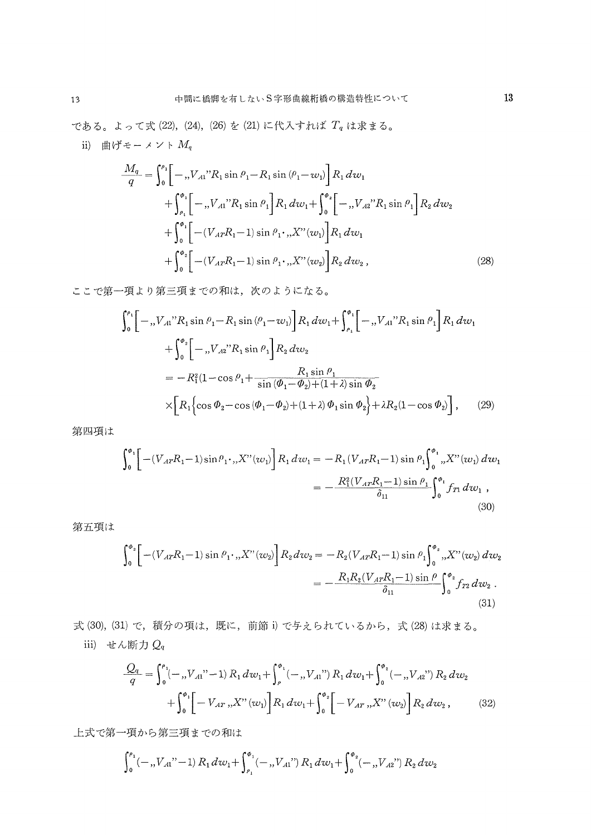である。よって式 (22), (24), (26) を (21) に代入すれば  $T_q$  は求まる。

ii) 曲げモーメント $M_q$ 

$$
\frac{M_q}{q} = \int_0^{\rho_1} \left[ -\, , V_{A1}{}^{"}R_1 \sin \theta_1 - R_1 \sin (\theta_1 - w_1) \right] R_1 dw_1 \n+ \int_{\rho_1}^{\phi_1} \left[ -\, , V_{A1}{}^{"}R_1 \sin \theta_1 \right] R_1 dw_1 + \int_0^{\phi_2} \left[ -\, , V_{A2}{}^{"}R_1 \sin \theta_1 \right] R_2 dw_2 \n+ \int_0^{\phi_1} \left[ -\left( V_{A7}R_1 - 1 \right) \sin \theta_1 \cdot \, , X{}^{"} (w_1) \right] R_1 dw_1 \n+ \int_0^{\phi_2} \left[ -\left( V_{A7}R_1 - 1 \right) \sin \theta_1 \cdot \, , X{}^{"} (w_2) \right] R_2 dw_2 , \tag{28}
$$

ここで第一項より第三項までの和は、次のようになる。

$$
\int_{0}^{\rho_{1}} \left[ -\int_{0}^{\rho_{2}} \left[ -\int_{0}^{\rho_{3}} N_{1} \sin \theta_{1} - R_{1} \sin (\theta_{1} - w_{1}) \right] R_{1} dw_{1} + \int_{\rho_{1}}^{\phi_{1}} \left[ -\int_{0}^{\rho_{2}} N_{1} \sin \theta_{1} \right] R_{1} dw_{1} + \int_{0}^{\phi_{2}} \left[ -\int_{0}^{r} N_{2} \cos \theta_{1} + \int_{0}^{r} R_{2} dw_{2} \right] ds
$$
  
\n
$$
= -R_{1}^{2} (1 - \cos \theta_{1} + \frac{R_{1} \sin \theta_{1}}{\sin (\phi_{1} - \phi_{2}) + (1 + \lambda) \sin \phi_{2}} + \lambda R_{2} (1 - \cos \phi_{2}) \right], \quad (29)
$$

第四項は

$$
\int_{0}^{\phi_{1}} \left[ -(V_{A T} R_{1} - 1) \sin \rho_{1} \cdot , X''(w_{1}) \right] R_{1} dw_{1} = -R_{1} (V_{A T} R_{1} - 1) \sin \rho_{1} \int_{0}^{\phi_{1}} , X''(w_{1}) dw_{1}
$$
  

$$
= -\frac{R_{1}^{2} (V_{A T} R_{1} - 1) \sin \rho_{1}}{\delta_{11}} \int_{0}^{\phi_{1}} f_{T1} dw_{1} ,
$$
(30)

第五項は

$$
\int_{0}^{\phi_{2}} \left[ - (V_{A T} R_{1} - 1) \sin \rho_{1} \cdot \mathbf{K}''(w_{2}) \right] R_{2} dw_{2} = - R_{2} (V_{A T} R_{1} - 1) \sin \rho_{1} \int_{0}^{\phi_{2}} \mathbf{K}''(w_{2}) dw_{2}
$$

$$
= - \frac{R_{1} R_{2} (V_{A T} R_{1} - 1) \sin \rho}{\delta_{11}} \int_{0}^{\phi_{2}} f_{T 2} dw_{2} .
$$
(31)

式(30), (31) で、積分の項は、既に、前節i) で与えられているから、式(28) は求まる。 iii) せん断力  $Q_q$ 

$$
\frac{Q_q}{q} = \int_0^{\rho_1} (-, V_{A1}^{"'} - 1) R_1 dw_1 + \int_{\rho}^{\phi_1} (-, V_{A1}^{"}) R_1 dw_1 + \int_0^{\phi_2} (-, V_{A2}^{"}) R_2 dw_2
$$

$$
+ \int_0^{\phi_1} \left[ -V_{A T}^{}, X^{"}(w_1) \right] R_1 dw_1 + \int_0^{\phi_2} \left[ -V_{A T}^{}, X^{"}(w_2) \right] R_2 dw_2 , \tag{32}
$$

上式で第一項から第三項までの和は

$$
\int_0^{a_1} (-, V_{A1}^{\prime\prime} - 1) R_1 dw_1 + \int_{a_1}^{a_1} (-, V_{A1}^{\prime\prime}) R_1 dw_1 + \int_0^{a_2} (-, V_{A2}^{\prime\prime}) R_2 dw_2
$$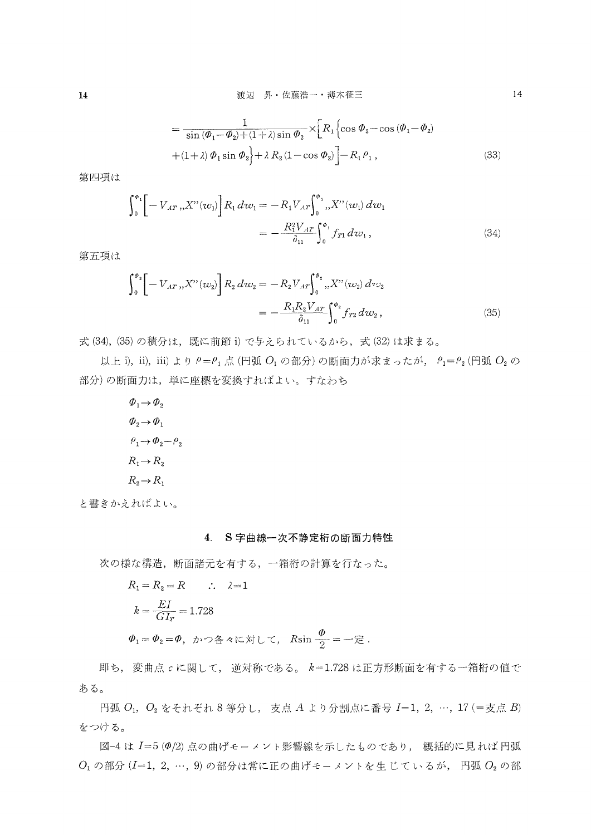$$
= \frac{1}{\sin(\phi_1 - \phi_2) + (1 + \lambda)\sin\phi_2} \times \left[ R_1 \left\{ \cos \phi_2 - \cos(\phi_1 - \phi_2) + (1 + \lambda)\phi_1 \sin \phi_2 \right\} + \lambda R_2 (1 - \cos \phi_2) \right] - R_1 \rho_1,
$$
\n(33)

第四項は

$$
\int_0^{\phi_1} \left[ -V_{AT} \, ,_{t} X^{\prime \prime}(w_1) \right] R_1 \, dw_1 = -R_1 V_{AT} \int_0^{\phi_1} ,_{t} X^{\prime \prime}(w_1) \, dw_1
$$
\n
$$
= -\frac{R_1^2 V_{AT}}{\delta_{11}} \int_0^{\phi_1} f_{T1} \, dw_1 , \tag{34}
$$

第五項は

$$
\int_{0}^{\phi_{2}} \left[ -V_{AT} \, ,X''(w_{2}) \right] R_{2} \, dw_{2} = -R_{2} V_{AT} \int_{0}^{\phi_{2}} \, ,X''(w_{2}) \, dv_{2} \\
= -\frac{R_{1} R_{2} V_{AT}}{\delta_{11}} \int_{0}^{\phi_{2}} f_{T2} \, dw_{2} \,, \tag{35}
$$

式(34), (35)の積分は、既に前節i)で与えられているから,式(32)は求まる。

以上 i), ii), iii) より  $\rho = \rho_1$ 点(円弧  $O_1$ の部分)の断面力が求まったが,  $\rho_1 = \rho_2$ (円弧  $O_2$ の 部分)の断面力は,単に座標を変換すればよい。すなわち

> $\Phi_1 \rightarrow \Phi_2$  $\phi_2 \rightarrow \phi_1$  $\rho_1 \rightarrow \phi_2 - \rho_2$  $R_1 \rightarrow R_2$  $R_2 \rightarrow R_1$

と書きかえればよい。

### 4.S字曲線一次不静定桁の断面力特性

次の様な構造,断面諸元を有する,一箱桁の計算を行なった。

$$
R_1 = R_2 = R \qquad \therefore \quad \lambda = 1
$$
\n
$$
k = \frac{EI}{GI_T} = 1.728
$$
\n
$$
\Phi_1 = \Phi_2 = \Phi, \quad \forall \lambda > 0 \quad \forall \lambda \in \mathbb{R} \quad \forall \lambda \in \mathbb{R}
$$
\n
$$
R \sin \frac{\Phi}{2} = -\overline{\mathbb{E}}.
$$

 即ち,変曲点。に関して,逆対称である。k=!.728は正方形断面を有する一箱桁の値で ある。

円弧 $O_1$ ,  $O_2$ をそれぞれ8等分し, 支点A より分割点に番号  $I=1, 2, \cdots$ , 17 (=支点B) をつける。

図-4 は I=5 (0/2) 点の曲げモーメント影響線を示したものであり、 概括的に見れば円弧  $O_1$ の部分 $(I=1,2,\cdots,9)$ の部分は常に正の曲げモーメントを生じているが,円弧 $O_2$ の部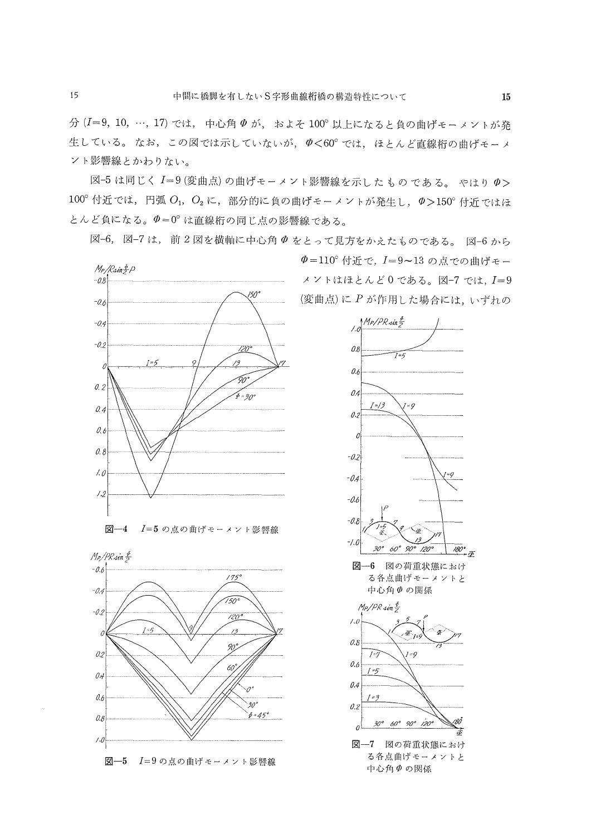15

分 (I=9, 10, …, 17) では、 中心角 Φ が, およそ 100° 以上になると負の曲げモーメントが発 生している。なお、この図では示していないが、ゆく60°では、ほとんど直線桁の曲げモーメ ント影響線とかわりない。

図-5 は同じく I=9 (変曲点) の曲げモーメント影響線を示したものである。 やはり Φ>  $100^\circ$  付近では、円弧  $O_1$ ,  $O_2$ に、部分的に負の曲げモーメントが発生し、 $\varPhi$  > 150° 付近ではほ とんど負になる。 $\varPhi=0^\circ$ は直線桁の同じ点の影響線である。

図-6,図-7は、前2図を横軸に中心角 Φ をとって見方をかえたものである。図-6から



 $M_P/PR \sin \frac{F}{2}$  $-0.6$  $175^\circ$  $-0.4$ 150  $-0.2$  $120°$ 73 0 90,  $\mathcal{O}2$ 60  $\theta$  $0.6$  $30<sup>4</sup>$  $\phi = 45^{\circ}$  $0.8$  $\prime\mathcal{O}$ 図-5 I=9の点の曲げモーメント影響線 Φ=110° 付近で、I=9~13の点での曲げモー メントはほとんど0である。図-7 では、I=9 (変曲点)に P が作用した場合には、いずれの



中心角のの関係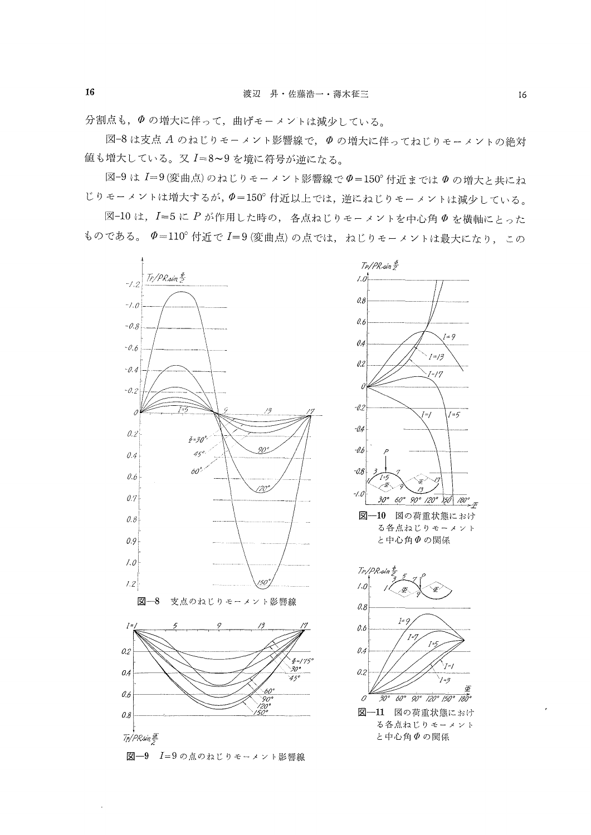分割点も、のの増大に伴って、曲げモーメントは減少している。

図-8 は支点 A のねじりモーメント影響線で、Φ の増大に伴ってねじりモーメントの絶対 値も増大している。又 I=8~9を境に符号が逆になる。

図-9 は I=9(変曲点)のねじりモーメント影響線でΦ=150°付近までは Φの増大と共にね じりモーメントは増大するが, Φ=150° 付近以上では、逆にねじりモーメントは減少している。

図-10は、I=5にPが作用した時の、各点ねじりモーメントを中心角のを横軸にとった ものである。 Φ=110° 付近で I=9 (変曲点) の点では、ねじりモーメントは最大になり、この



16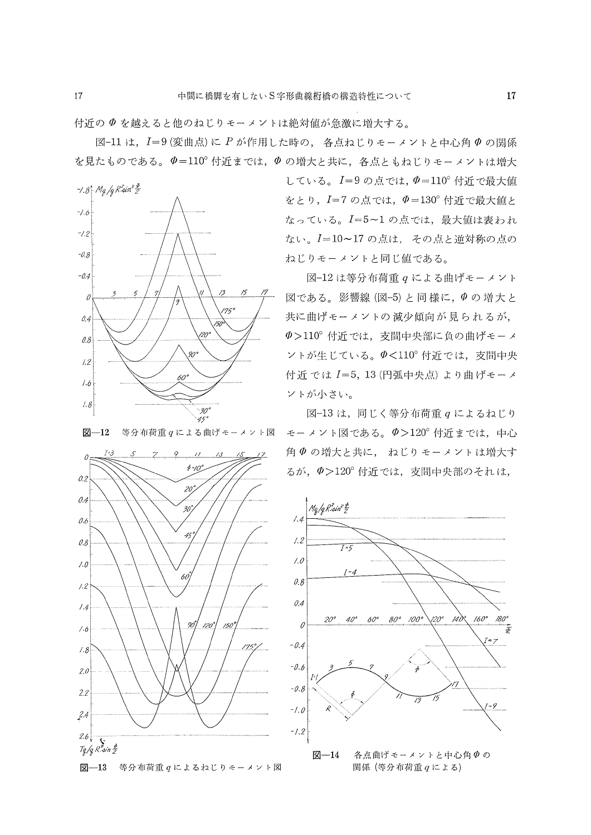付近のφを越えると他のねじりモーメントぱ絶対値が急激に増大する。

図-11 は, I=9(変曲点)に P が作用した時の, 各点ねじりモーメントと中心角 Φ の関係 を見たものである。 $\varPhi=110^{\circ}$ 付近までは、 $\varPhi$ の増大と共に、各点ともねじりモーメントは増大



図-12 等分布荷重  $q$ による曲げモーメント図



している。 $I=9$ の点では、 $\phi=110^\circ$ 付近で最大値 をとり, I=7の点では, Φ=130°付近で最大値と 避 一.一.一 蒙譜潔5頴濫欝翻

-0.4<br>
-0.4<br>
-3 5 7 1 1 1 3 5 7 1 図である 影響線 (図-5) と同様に、 のの 増 大 レ 図である。影響線 $($ 図-5)と同様に、 $\Phi$ の増大と 共に曲げモーメントの減少傾向が見られるが,  $\Phi$  > 110° 付近では、支間中央部に負の曲げモーメ  $\vee$ トが生じている。 $\phi$ <110°付近では、支間中央 付近では1-5,!3(円弧中央点〉より曲げモーメ ントが小さい。

> 図 $-13$ は,同じく等分布荷重  $q$ によるねじり モーメント図である。ψ>120。付近までは,中心 角 Φ の増大と共に、ねじりモーメントは増大す るが、 $\Phi$  >120° 付近では、支間中央部のそれは,

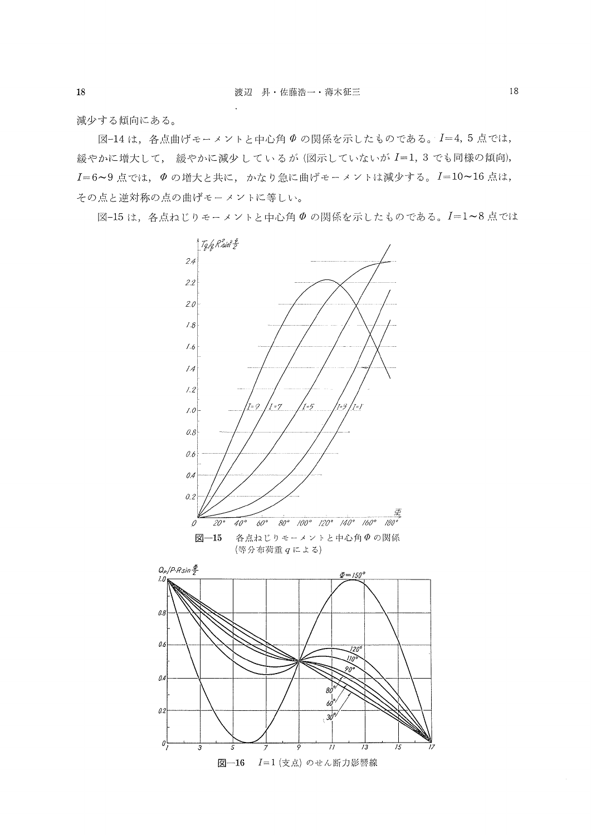減少する傾向にある。

図-14は、各点曲げモーメントと中心角のの関係を示したものである。I=4,5点では, 緩やかに増大して、 緩やかに減少しているが (図示していないが I=1, 3 でも同様の傾向), I=6~9点では、Φの増大と共に、かなり急に曲げモーメントは減少する。I=10~16点は, その点と逆対称の点の曲げモーメントに等しい。

図-15は、各点ねじりモーメントと中心角 Φの関係を示したものである。I=1~8点では



 $18\,$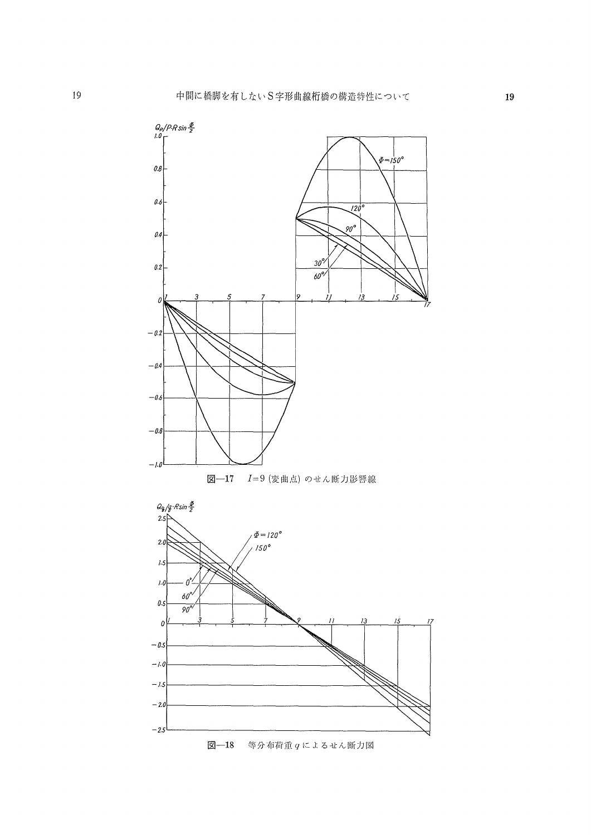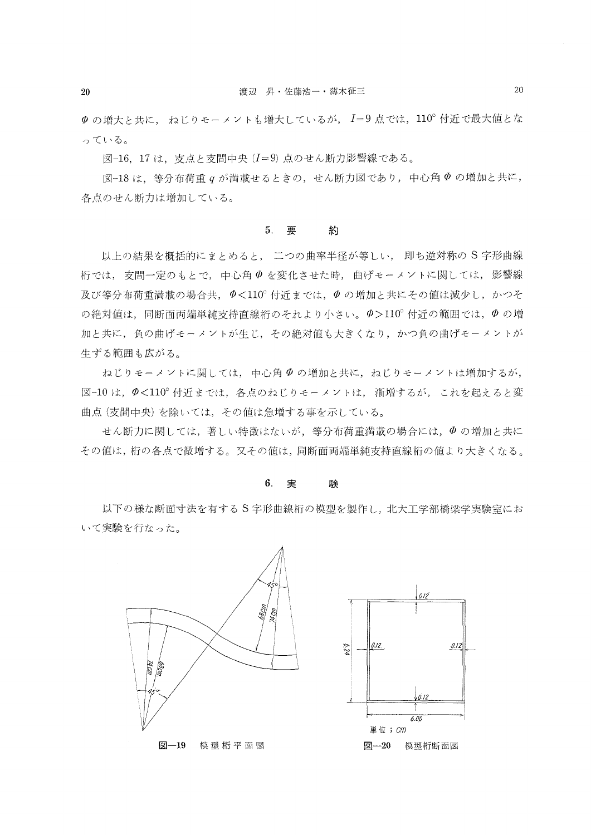$\varPhi$  の増大と共に、ねじりモーメントも増大しているが、I=9点では、110°付近で最大値とな っている。

図-16, 17 は, 支点と支間中央 (I=9)点のせん断力影響線である。

 図一18は,等分布荷重gが満載せるときの,せん断力図であり,中心角φの増加と共に, 各点のせん断力は増加している。

#### 5.要 約

以上の結果を概括的にまとめると, 二つの曲率半径が等しい, 即ち逆対称の S字形曲線 桁では,支間一定のもとで,中心角ψを変化させた時,曲げモーメントに関しては,影響線 及び等分布荷重満載の場合共、 $\Phi$ <110°付近までは、 $\Phi$ の増加と共にその値は減少し、かつそ の絶対値は、同断面両端単純支持直線桁のそれより小さい。 $\varphi$ >110°付近の範囲では、 $\varphi$ の増 加と共に,負の曲げモーメントが生じ,その絶対値も大きくなり,かつ負の曲げモーメントが 生ずる範囲も広がる。

 ねじりモーメントに関しては,中心角φの増加と共に,ねじりモーメントは増加するが, 図-10は, の<110°付近までは、各点のねじりモーメントは、漸増するが、これを起えると変 曲点(支間中央)を除いては,その値は急増する事を示している。

 せん断力に関しては,著しい特徴はないが,等分布荷重満載の場合には,φの増加と共に その値は,桁の各点で微増する。又その値は,同断面両端単純支持直線桁の値より大きくなる。

#### 6. 実 験

 以下の様な断面寸法を有するS字形曲線桁の模型を製作し,北大工学部橋梁学実験室にお いて実験を行なった。



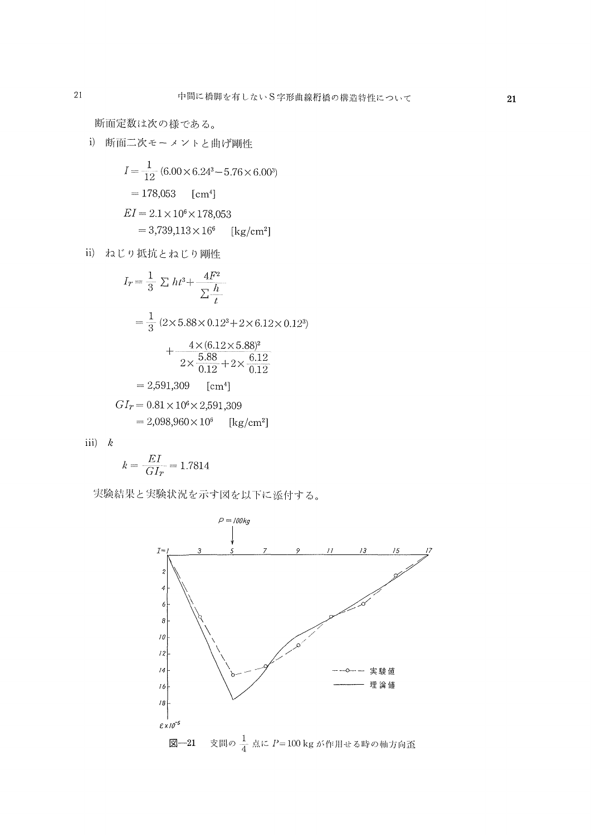断面定数は次の様である。

i) 阴面二次モーメントと曲げ剛性  
\n
$$
I = \frac{1}{12} (6.00 \times 6.24^3 - 5.76 \times 6.00^3)
$$
\n
$$
= 178,053 \quad \text{[cm}^4\text{]}
$$
\n
$$
EI = 2.1 \times 10^6 \times 178,053
$$
\n
$$
= 3,739,113 \times 16^6 \quad \text{[kg/cm}^2\text{]}
$$

ii) ねじり抵抗とねじり剛性

$$
I_T = \frac{1}{3} \sum h t^3 + \frac{4F^2}{\sum t}
$$
  
=  $\frac{1}{3} (2 \times 5.88 \times 0.12^3 + 2 \times 6.12 \times 0.12^3)$   
+  $\frac{4 \times (6.12 \times 5.88)^2}{2 \times \frac{5.88}{0.12} + 2 \times \frac{6.12}{0.12}}$   
= 2,591,309 [cm<sup>4</sup>]  
 $GI_T = 0.81 \times 10^6 \times 2,591,309$   
= 2,098,960×10<sup>6</sup> [kg/cm<sup>2</sup>]

iii)  $k$ 

$$
k = \frac{EI}{GI_r} = 1.7814
$$

実験結果と実験状況を示す図を以下に添付する。